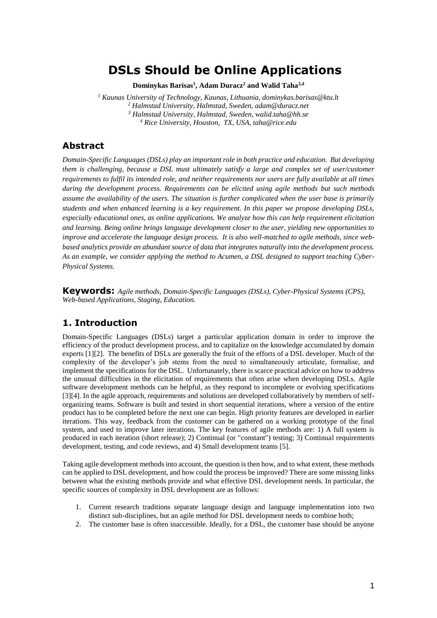# **DSLs Should be Online Applications**

**Dominykas Barisas<sup>1</sup> , Adam Duracz<sup>2</sup> and Walid Taha3,4**

 *Kaunas University of Technology, Kaunas, Lithuania, dominykas.barisas@ktu.lt Halmstad University, Halmstad, Sweden, adam@duracz.net Halmstad University, Halmstad, Sweden, walid.taha@hh.se Rice University, Houston, TX, USA, taha@rice.edu*

### **Abstract**

*Domain-Specific Languages (DSLs) play an important role in both practice and education. But developing them is challenging, because a DSL must ultimately satisfy a large and complex set of user/customer requirements to fulfil its intended role, and neither requirements nor users are fully available at all times during the development process. Requirements can be elicited using agile methods but such methods assume the availability of the users. The situation is further complicated when the user base is primarily students and when enhanced learning is a key requirement. In this paper we propose developing DSLs, especially educational ones, as online applications. We analyze how this can help requirement elicitation and learning. Being online brings language development closer to the user, yielding new opportunities to improve and accelerate the language design process. It is also well-matched to agile methods, since webbased analytics provide an abundant source of data that integrates naturally into the development process. As an example, we consider applying the method to Acumen, a DSL designed to support teaching Cyber-Physical Systems.*

**Keywords:** *Agile methods, Domain-Specific Languages (DSLs), Cyber-Physical Systems (CPS), Web-based Applications, Staging, Education.*

# **1. Introduction**

Domain-Specific Languages (DSLs) target a particular application domain in order to improve the efficiency of the product development process, and to capitalize on the knowledge accumulated by domain experts [1][2]. The benefits of DSLs are generally the fruit of the efforts of a DSL developer. Much of the complexity of the developer's job stems from the need to simultaneously articulate, formalise, and implement the specifications for the DSL. Unfortunately, there is scarce practical advice on how to address the unusual difficulties in the elicitation of requirements that often arise when developing DSLs. Agile software development methods can be helpful, as they respond to incomplete or evolving specifications [3][4]. In the agile approach, requirements and solutions are developed collaboratively by members of selforganizing teams. Software is built and tested in short sequential iterations, where a version of the entire product has to be completed before the next one can begin. High priority features are developed in earlier iterations. This way, feedback from the customer can be gathered on a working prototype of the final system, and used to improve later iterations. The key features of agile methods are: 1) A full system is produced in each iteration (short release); 2) Continual (or "constant") testing; 3) Continual requirements development, testing, and code reviews, and 4) Small development teams [5].

Taking agile development methods into account, the question is then how, and to what extent, these methods can be applied to DSL development, and how could the process be improved? There are some missing links between what the existing methods provide and what effective DSL development needs. In particular, the specific sources of complexity in DSL development are as follows:

- 1. Current research traditions separate language design and language implementation into two distinct sub-disciplines, but an agile method for DSL development needs to combine both;
- 2. The customer base is often inaccessible. Ideally, for a DSL, the customer base should be anyone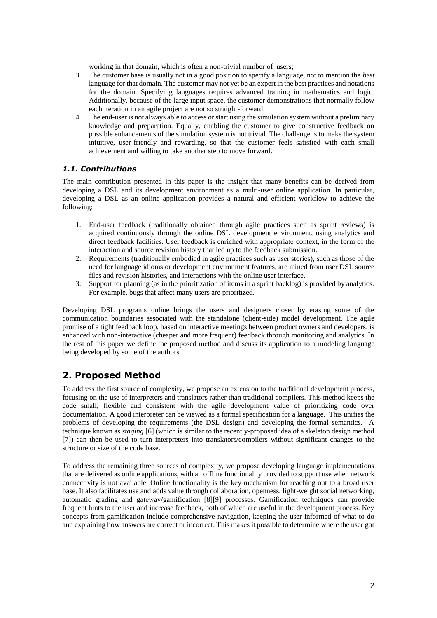working in that domain, which is often a non-trivial number of users;

- 3. The customer base is usually not in a good position to specify a language, not to mention the *best* language for that domain. The customer may not yet be an expert in the best practices and notations for the domain. Specifying languages requires advanced training in mathematics and logic. Additionally, because of the large input space, the customer demonstrations that normally follow each iteration in an agile project are not so straight-forward.
- 4. The end-user is not always able to access or start using the simulation system without a preliminary knowledge and preparation. Equally, enabling the customer to give constructive feedback on possible enhancements of the simulation system is not trivial. The challenge is to make the system intuitive, user-friendly and rewarding, so that the customer feels satisfied with each small achievement and willing to take another step to move forward.

#### *1.1. Contributions*

The main contribution presented in this paper is the insight that many benefits can be derived from developing a DSL and its development environment as a multi-user online application. In particular, developing a DSL as an online application provides a natural and efficient workflow to achieve the following:

- 1. End-user feedback (traditionally obtained through agile practices such as sprint reviews) is acquired continuously through the online DSL development environment, using analytics and direct feedback facilities. User feedback is enriched with appropriate context, in the form of the interaction and source revision history that led up to the feedback submission.
- 2. Requirements (traditionally embodied in agile practices such as user stories), such as those of the need for language idioms or development environment features, are mined from user DSL source files and revision histories, and interactions with the online user interface.
- 3. Support for planning (as in the prioritization of items in a sprint backlog) is provided by analytics. For example, bugs that affect many users are prioritized.

Developing DSL programs online brings the users and designers closer by erasing some of the communication boundaries associated with the standalone (client-side) model development. The agile promise of a tight feedback loop, based on interactive meetings between product owners and developers, is enhanced with non-interactive (cheaper and more frequent) feedback through monitoring and analytics. In the rest of this paper we define the proposed method and discuss its application to a modeling language being developed by some of the authors.

# **2. Proposed Method**

To address the first source of complexity, we propose an extension to the traditional development process, focusing on the use of interpreters and translators rather than traditional compilers. This method keeps the code small, flexible and consistent with the agile development value of prioritizing code over documentation. A good interpreter can be viewed as a formal specification for a language. This unifies the problems of developing the requirements (the DSL design) and developing the formal semantics. A technique known as *staging* [6] (which is similar to the recently-proposed idea of a skeleton design method [7]) can then be used to turn interpreters into translators/compilers without significant changes to the structure or size of the code base.

To address the remaining three sources of complexity, we propose developing language implementations that are delivered as online applications, with an offline functionality provided to support use when network connectivity is not available. Online functionality is the key mechanism for reaching out to a broad user base. It also facilitates use and adds value through collaboration, openness, light-weight social networking, automatic grading and gateway/gamification [8][9] processes. Gamification techniques can provide frequent hints to the user and increase feedback, both of which are useful in the development process. Key concepts from gamification include comprehensive navigation, keeping the user informed of what to do and explaining how answers are correct or incorrect. This makes it possible to determine where the user got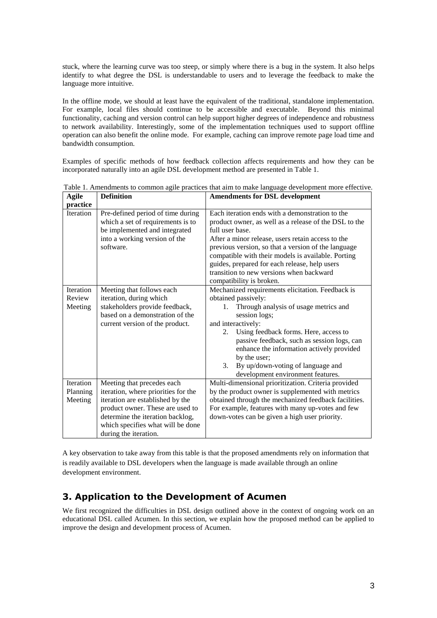stuck, where the learning curve was too steep, or simply where there is a bug in the system. It also helps identify to what degree the DSL is understandable to users and to leverage the feedback to make the language more intuitive.

In the offline mode, we should at least have the equivalent of the traditional, standalone implementation. For example, local files should continue to be accessible and executable. Beyond this minimal functionality, caching and version control can help support higher degrees of independence and robustness to network availability. Interestingly, some of the implementation techniques used to support offline operation can also benefit the online mode. For example, caching can improve remote page load time and bandwidth consumption.

Examples of specific methods of how feedback collection affects requirements and how they can be incorporated naturally into an agile DSL development method are presented in Table 1.

| ждис<br>practice                 | реншион                                                                                                                                                                                                                                     | Amendments for DSL development                                                                                                                                                                                                                                                                                                                                                                                         |
|----------------------------------|---------------------------------------------------------------------------------------------------------------------------------------------------------------------------------------------------------------------------------------------|------------------------------------------------------------------------------------------------------------------------------------------------------------------------------------------------------------------------------------------------------------------------------------------------------------------------------------------------------------------------------------------------------------------------|
| <b>Iteration</b>                 | Pre-defined period of time during<br>which a set of requirements is to<br>be implemented and integrated<br>into a working version of the<br>software.                                                                                       | Each iteration ends with a demonstration to the<br>product owner, as well as a release of the DSL to the<br>full user base.<br>After a minor release, users retain access to the<br>previous version, so that a version of the language<br>compatible with their models is available. Porting<br>guides, prepared for each release, help users<br>transition to new versions when backward<br>compatibility is broken. |
| Iteration<br>Review<br>Meeting   | Meeting that follows each<br>iteration, during which<br>stakeholders provide feedback,<br>based on a demonstration of the<br>current version of the product.                                                                                | Mechanized requirements elicitation. Feedback is<br>obtained passively:<br>Through analysis of usage metrics and<br>1.<br>session logs;<br>and interactively:<br>Using feedback forms. Here, access to<br>2.<br>passive feedback, such as session logs, can<br>enhance the information actively provided<br>by the user;<br>3.<br>By up/down-voting of language and<br>development environment features.               |
| Iteration<br>Planning<br>Meeting | Meeting that precedes each<br>iteration, where priorities for the<br>iteration are established by the<br>product owner. These are used to<br>determine the iteration backlog,<br>which specifies what will be done<br>during the iteration. | Multi-dimensional prioritization. Criteria provided<br>by the product owner is supplemented with metrics<br>obtained through the mechanized feedback facilities.<br>For example, features with many up-votes and few<br>down-votes can be given a high user priority.                                                                                                                                                  |

Table 1. Amendments to common agile practices that aim to make language development more effective. Agile Definition **Definition Amendments for DSL development**

A key observation to take away from this table is that the proposed amendments rely on information that is readily available to DSL developers when the language is made available through an online development environment.

# **3. Application to the Development of Acumen**

We first recognized the difficulties in DSL design outlined above in the context of ongoing work on an educational DSL called Acumen. In this section, we explain how the proposed method can be applied to improve the design and development process of Acumen.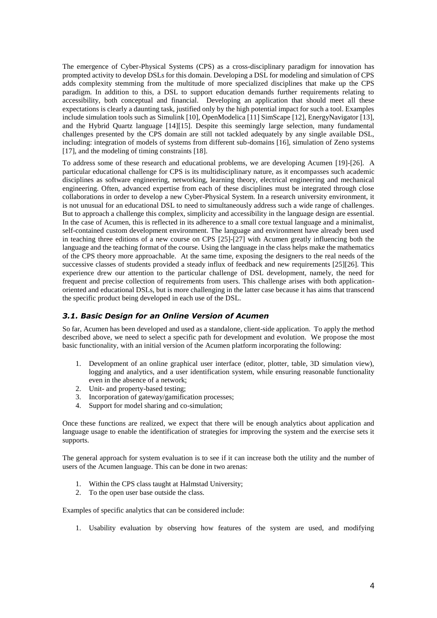The emergence of Cyber-Physical Systems (CPS) as a cross-disciplinary paradigm for innovation has prompted activity to develop DSLs for this domain. Developing a DSL for modeling and simulation of CPS adds complexity stemming from the multitude of more specialized disciplines that make up the CPS paradigm. In addition to this, a DSL to support education demands further requirements relating to accessibility, both conceptual and financial. Developing an application that should meet all these expectations is clearly a daunting task, justified only by the high potential impact for such a tool. Examples include simulation tools such as Simulink [10], OpenModelica [11] SimScape [12], EnergyNavigator [13], and the Hybrid Quartz language [14][15]. Despite this seemingly large selection, many fundamental challenges presented by the CPS domain are still not tackled adequately by any single available DSL, including: integration of models of systems from different sub-domains [16], simulation of Zeno systems [17], and the modeling of timing constraints [18].

To address some of these research and educational problems, we are developing Acumen [19]-[26]. A particular educational challenge for CPS is its multidisciplinary nature, as it encompasses such academic disciplines as software engineering, networking, learning theory, electrical engineering and mechanical engineering. Often, advanced expertise from each of these disciplines must be integrated through close collaborations in order to develop a new Cyber-Physical System. In a research university environment, it is not unusual for an educational DSL to need to simultaneously address such a wide range of challenges. But to approach a challenge this complex, simplicity and accessibility in the language design are essential. In the case of Acumen, this is reflected in its adherence to a small core textual language and a minimalist, self-contained custom development environment. The language and environment have already been used in teaching three editions of a new course on CPS [25]-[27] with Acumen greatly influencing both the language and the teaching format of the course. Using the language in the class helps make the mathematics of the CPS theory more approachable. At the same time, exposing the designers to the real needs of the successive classes of students provided a steady influx of feedback and new requirements [25][26]. This experience drew our attention to the particular challenge of DSL development, namely, the need for frequent and precise collection of requirements from users. This challenge arises with both applicationoriented and educational DSLs, but is more challenging in the latter case because it has aims that transcend the specific product being developed in each use of the DSL.

#### *3.1. Basic Design for an Online Version of Acumen*

So far, Acumen has been developed and used as a standalone, client-side application. To apply the method described above, we need to select a specific path for development and evolution. We propose the most basic functionality, with an initial version of the Acumen platform incorporating the following:

- 1. Development of an online graphical user interface (editor, plotter, table, 3D simulation view), logging and analytics, and a user identification system, while ensuring reasonable functionality even in the absence of a network;
- 2. Unit- and property-based testing;
- 3. Incorporation of gateway/gamification processes;
- 4. Support for model sharing and co-simulation;

Once these functions are realized, we expect that there will be enough analytics about application and language usage to enable the identification of strategies for improving the system and the exercise sets it supports.

The general approach for system evaluation is to see if it can increase both the utility and the number of users of the Acumen language. This can be done in two arenas:

- 1. Within the CPS class taught at Halmstad University;
- 2. To the open user base outside the class.

Examples of specific analytics that can be considered include:

1. Usability evaluation by observing how features of the system are used, and modifying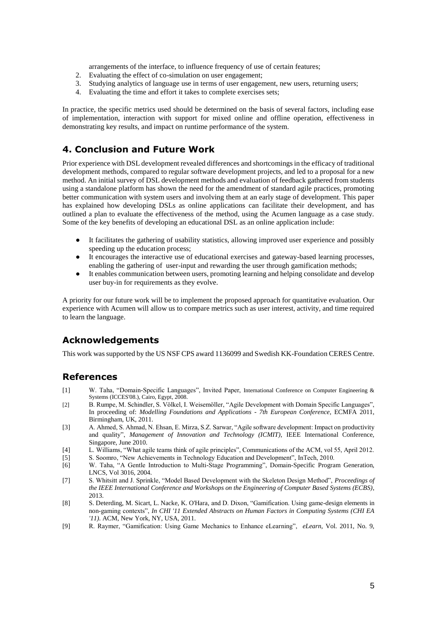arrangements of the interface, to influence frequency of use of certain features;

- 2. Evaluating the effect of co-simulation on user engagement;
- 3. Studying analytics of language use in terms of user engagement, new users, returning users;
- 4. Evaluating the time and effort it takes to complete exercises sets;

In practice, the specific metrics used should be determined on the basis of several factors, including ease of implementation, interaction with support for mixed online and offline operation, effectiveness in demonstrating key results, and impact on runtime performance of the system.

### **4. Conclusion and Future Work**

Prior experience with DSL development revealed differences and shortcomings in the efficacy of traditional development methods, compared to regular software development projects, and led to a proposal for a new method. An initial survey of DSL development methods and evaluation of feedback gathered from students using a standalone platform has shown the need for the amendment of standard agile practices, promoting better communication with system users and involving them at an early stage of development. This paper has explained how developing DSLs as online applications can facilitate their development, and has outlined a plan to evaluate the effectiveness of the method, using the Acumen language as a case study. Some of the key benefits of developing an educational DSL as an online application include:

- It facilitates the gathering of usability statistics, allowing improved user experience and possibly speeding up the education process;
- It encourages the interactive use of educational exercises and gateway-based learning processes, enabling the gathering of user-input and rewarding the user through gamification methods;
- It enables communication between users, promoting learning and helping consolidate and develop user buy-in for requirements as they evolve.

A priority for our future work will be to implement the proposed approach for quantitative evaluation. Our experience with Acumen will allow us to compare metrics such as user interest, activity, and time required to learn the language.

# **Acknowledgements**

This work was supported by the US NSF CPS award 1136099 and Swedish KK-Foundation CERES Centre.

### **References**

- [1] W. Taha, "Domain-Specific Languages", Invited Paper, International Conference on Computer Engineering & Systems (ICCES'08.), Cairo, Egypt, 2008.
- [2] B. Rumpe, M. Schindler, S. Völkel, I. Weisemöller, "Agile Development with Domain Specific Languages", In proceeding of: *Modelling Foundations and Applications - 7th European Conference*, ECMFA 2011, Birmingham, UK, 2011.
- [3] A. Ahmed, S. Ahmad, N. Ehsan, E. Mirza, S.Z. Sarwar, "Agile software development: Impact on productivity and quality", *Management of Innovation and Technology (ICMIT)*, IEEE International Conference, Singapore, June 2010.
- [4] L. Williams, "What agile teams think of agile principles", Communications of the ACM, vol 55, April 2012.
- [5] S. Soomro, "New Achievements in Technology Education and Development", InTech, 2010.
- [6] W. Taha, "A Gentle Introduction to Multi-Stage Programming", Domain-Specific Program Generation, LNCS, Vol 3016, 2004.
- [7] S. Whitsitt and J. Sprinkle, "Model Based Development with the Skeleton Design Method", *Proceedings of the IEEE International Conference and Workshops on the Engineering of Computer Based Systems (ECBS)*, 2013.
- [8] S. Deterding, M. Sicart, L. Nacke, K. O'Hara, and D. Dixon, "Gamification. Using game-design elements in non-gaming contexts", *In CHI '11 Extended Abstracts on Human Factors in Computing Systems (CHI EA '11)*. ACM, New York, NY, USA, 2011.
- [9] R. Raymer, "Gamification: Using Game Mechanics to Enhance eLearning", *eLearn*, Vol. 2011, No. 9,